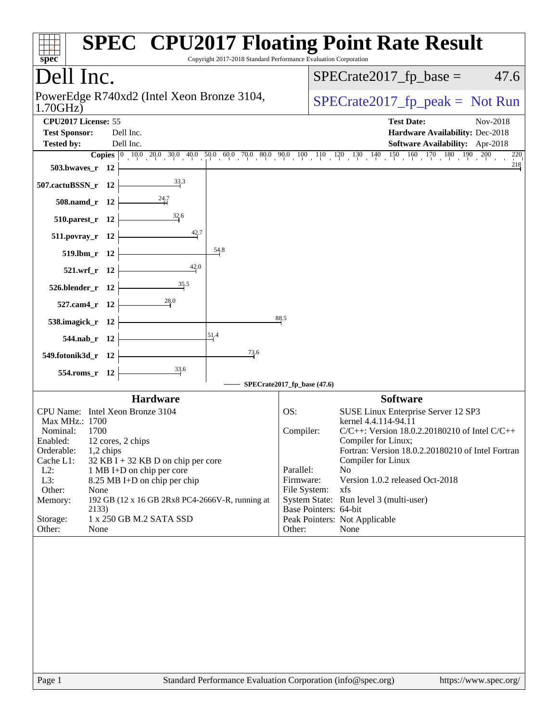| Copyright 2017-2018 Standard Performance Evaluation Corporation<br>spec <sup>®</sup>                                                                                                                                                                                                                                                                                                                                                       | <b>SPEC<sup>®</sup> CPU2017 Floating Point Rate Result</b>                                                                                                                                                                                                                                                                                                                                                                                                            |
|--------------------------------------------------------------------------------------------------------------------------------------------------------------------------------------------------------------------------------------------------------------------------------------------------------------------------------------------------------------------------------------------------------------------------------------------|-----------------------------------------------------------------------------------------------------------------------------------------------------------------------------------------------------------------------------------------------------------------------------------------------------------------------------------------------------------------------------------------------------------------------------------------------------------------------|
| Dell Inc.                                                                                                                                                                                                                                                                                                                                                                                                                                  | $SPECrate2017_fp\_base =$<br>47.6                                                                                                                                                                                                                                                                                                                                                                                                                                     |
| PowerEdge R740xd2 (Intel Xeon Bronze 3104,<br>1.70GHz                                                                                                                                                                                                                                                                                                                                                                                      | $SPECrate2017_fp\_peak = Not Run$                                                                                                                                                                                                                                                                                                                                                                                                                                     |
| CPU2017 License: 55<br><b>Test Sponsor:</b><br>Dell Inc.<br>Dell Inc.<br><b>Tested by:</b><br>503.bwaves_r 12<br>507.cactuBSSN_r 12<br>508.namd_r 12<br>$\frac{32.6}{4}$<br>$510.parest_r$ 12<br>42.7<br>511.povray_r 12<br>54.8<br>519.lbm_r 12<br>42,0<br>521.wrf r 12<br>35.5<br>526.blender_r 12<br>527.cam4_r 12<br>88.5<br>538.imagick_r 12                                                                                          | <b>Test Date:</b><br>Nov-2018<br>Hardware Availability: Dec-2018<br>Software Availability: Apr-2018<br><b>Copies</b> $\begin{bmatrix} 0 & 10 & 0 & 20 & 30 & 40 & 50 & 60 & 70 & 80 & 90 & 10 & 11 & 12 & 13 & 140 & 15 & 16 & 170 & 180 & 190 & 200 \end{bmatrix}$<br>220<br>218                                                                                                                                                                                     |
| 51.4<br>544.nab_r 12<br>73.6<br>549.fotonik3d_r 12                                                                                                                                                                                                                                                                                                                                                                                         |                                                                                                                                                                                                                                                                                                                                                                                                                                                                       |
| 33.6<br>554.roms_r 12                                                                                                                                                                                                                                                                                                                                                                                                                      |                                                                                                                                                                                                                                                                                                                                                                                                                                                                       |
|                                                                                                                                                                                                                                                                                                                                                                                                                                            | SPECrate2017_fp_base (47.6)                                                                                                                                                                                                                                                                                                                                                                                                                                           |
| <b>Hardware</b><br>CPU Name: Intel Xeon Bronze 3104<br>Max MHz.: 1700<br>1700<br>Nominal:<br>Enabled:<br>12 cores, 2 chips<br>Orderable:<br>1,2 chips<br>Cache L1:<br>$32$ KB I + 32 KB D on chip per core<br>$L2$ :<br>1 MB I+D on chip per core<br>L3:<br>8.25 MB I+D on chip per chip<br>Other:<br>None<br>Memory:<br>192 GB (12 x 16 GB 2Rx8 PC4-2666V-R, running at<br>2133)<br>1 x 250 GB M.2 SATA SSD<br>Storage:<br>Other:<br>None | <b>Software</b><br>OS:<br>SUSE Linux Enterprise Server 12 SP3<br>kernel 4.4.114-94.11<br>C/C++: Version 18.0.2.20180210 of Intel C/C++<br>Compiler:<br>Compiler for Linux:<br>Fortran: Version 18.0.2.20180210 of Intel Fortran<br>Compiler for Linux<br>Parallel:<br>No<br>Version 1.0.2 released Oct-2018<br>Firmware:<br>File System:<br>xfs<br>System State: Run level 3 (multi-user)<br>Base Pointers: 64-bit<br>Peak Pointers: Not Applicable<br>Other:<br>None |
| Standard Performance Evaluation Corporation (info@spec.org)<br>Page 1                                                                                                                                                                                                                                                                                                                                                                      | https://www.spec.org/                                                                                                                                                                                                                                                                                                                                                                                                                                                 |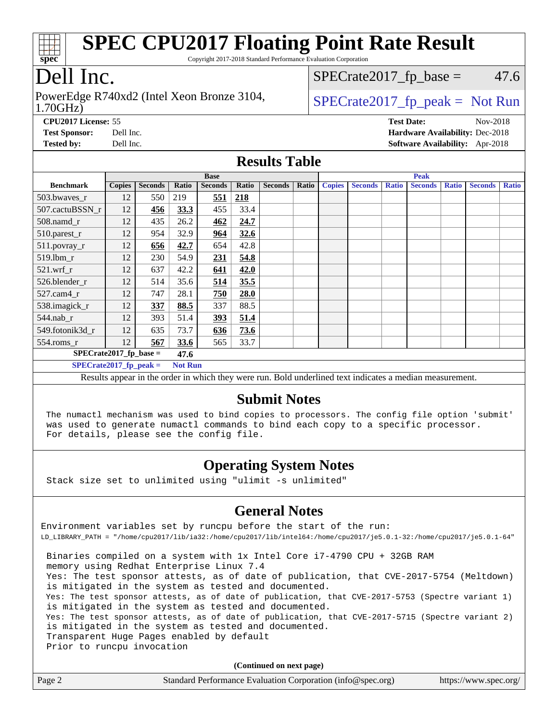

Copyright 2017-2018 Standard Performance Evaluation Corporation

# Dell Inc.

1.70GHz) PowerEdge R740xd2 (Intel Xeon Bronze 3104,  $\vert$  [SPECrate2017\\_fp\\_peak =](http://www.spec.org/auto/cpu2017/Docs/result-fields.html#SPECrate2017fppeak) Not Run

 $SPECTate2017<sub>fp</sub> base = 47.6$ 

**[CPU2017 License:](http://www.spec.org/auto/cpu2017/Docs/result-fields.html#CPU2017License)** 55 **[Test Date:](http://www.spec.org/auto/cpu2017/Docs/result-fields.html#TestDate)** Nov-2018 **[Test Sponsor:](http://www.spec.org/auto/cpu2017/Docs/result-fields.html#TestSponsor)** Dell Inc. **[Hardware Availability:](http://www.spec.org/auto/cpu2017/Docs/result-fields.html#HardwareAvailability)** Dec-2018 **[Tested by:](http://www.spec.org/auto/cpu2017/Docs/result-fields.html#Testedby)** Dell Inc. **[Software Availability:](http://www.spec.org/auto/cpu2017/Docs/result-fields.html#SoftwareAvailability)** Apr-2018

#### **[Results Table](http://www.spec.org/auto/cpu2017/Docs/result-fields.html#ResultsTable)**

|                                   | <b>Base</b>   |                |                |                |       | <b>Peak</b>    |       |               |                |              |                |              |                |              |
|-----------------------------------|---------------|----------------|----------------|----------------|-------|----------------|-------|---------------|----------------|--------------|----------------|--------------|----------------|--------------|
| <b>Benchmark</b>                  | <b>Copies</b> | <b>Seconds</b> | Ratio          | <b>Seconds</b> | Ratio | <b>Seconds</b> | Ratio | <b>Copies</b> | <b>Seconds</b> | <b>Ratio</b> | <b>Seconds</b> | <b>Ratio</b> | <b>Seconds</b> | <b>Ratio</b> |
| 503.bwaves_r                      | 12            | 550            | 219            | 551            | 218   |                |       |               |                |              |                |              |                |              |
| 507.cactuBSSN r                   | 12            | 456            | 33.3           | 455            | 33.4  |                |       |               |                |              |                |              |                |              |
| $508$ .namd $r$                   | 12            | 435            | 26.2           | 462            | 24.7  |                |       |               |                |              |                |              |                |              |
| 510.parest_r                      | 12            | 954            | 32.9           | 964            | 32.6  |                |       |               |                |              |                |              |                |              |
| 511.povray_r                      | 12            | 656            | 42.7           | 654            | 42.8  |                |       |               |                |              |                |              |                |              |
| 519.1bm r                         | 12            | 230            | 54.9           | 231            | 54.8  |                |       |               |                |              |                |              |                |              |
| $521.wrf_r$                       | 12            | 637            | 42.2           | 641            | 42.0  |                |       |               |                |              |                |              |                |              |
| 526.blender r                     | 12            | 514            | 35.6           | 514            | 35.5  |                |       |               |                |              |                |              |                |              |
| $527$ .cam $4r$                   | 12            | 747            | 28.1           | 750            | 28.0  |                |       |               |                |              |                |              |                |              |
| 538.imagick_r                     | 12            | 337            | 88.5           | 337            | 88.5  |                |       |               |                |              |                |              |                |              |
| $544.nab_r$                       | 12            | 393            | 51.4           | 393            | 51.4  |                |       |               |                |              |                |              |                |              |
| 549.fotonik3d r                   | 12            | 635            | 73.7           | 636            | 73.6  |                |       |               |                |              |                |              |                |              |
| $554$ .roms_r                     | 12            | 567            | 33.6           | 565            | 33.7  |                |       |               |                |              |                |              |                |              |
| $SPECrate2017_fp\_base =$<br>47.6 |               |                |                |                |       |                |       |               |                |              |                |              |                |              |
| $SPECrate2017$ fp peak =          |               |                | <b>Not Run</b> |                |       |                |       |               |                |              |                |              |                |              |

Results appear in the [order in which they were run](http://www.spec.org/auto/cpu2017/Docs/result-fields.html#RunOrder). Bold underlined text [indicates a median measurement.](http://www.spec.org/auto/cpu2017/Docs/result-fields.html#Median)

#### **[Submit Notes](http://www.spec.org/auto/cpu2017/Docs/result-fields.html#SubmitNotes)**

 The numactl mechanism was used to bind copies to processors. The config file option 'submit' was used to generate numactl commands to bind each copy to a specific processor. For details, please see the config file.

### **[Operating System Notes](http://www.spec.org/auto/cpu2017/Docs/result-fields.html#OperatingSystemNotes)**

Stack size set to unlimited using "ulimit -s unlimited"

#### **[General Notes](http://www.spec.org/auto/cpu2017/Docs/result-fields.html#GeneralNotes)**

Environment variables set by runcpu before the start of the run: LD\_LIBRARY\_PATH = "/home/cpu2017/lib/ia32:/home/cpu2017/lib/intel64:/home/cpu2017/je5.0.1-32:/home/cpu2017/je5.0.1-64" Binaries compiled on a system with 1x Intel Core i7-4790 CPU + 32GB RAM

 memory using Redhat Enterprise Linux 7.4 Yes: The test sponsor attests, as of date of publication, that CVE-2017-5754 (Meltdown) is mitigated in the system as tested and documented. Yes: The test sponsor attests, as of date of publication, that CVE-2017-5753 (Spectre variant 1) is mitigated in the system as tested and documented. Yes: The test sponsor attests, as of date of publication, that CVE-2017-5715 (Spectre variant 2) is mitigated in the system as tested and documented. Transparent Huge Pages enabled by default Prior to runcpu invocation

**(Continued on next page)**

| Page 2 | Standard Performance Evaluation Corporation (info@spec.org) | https://www.spec.org/ |
|--------|-------------------------------------------------------------|-----------------------|
|--------|-------------------------------------------------------------|-----------------------|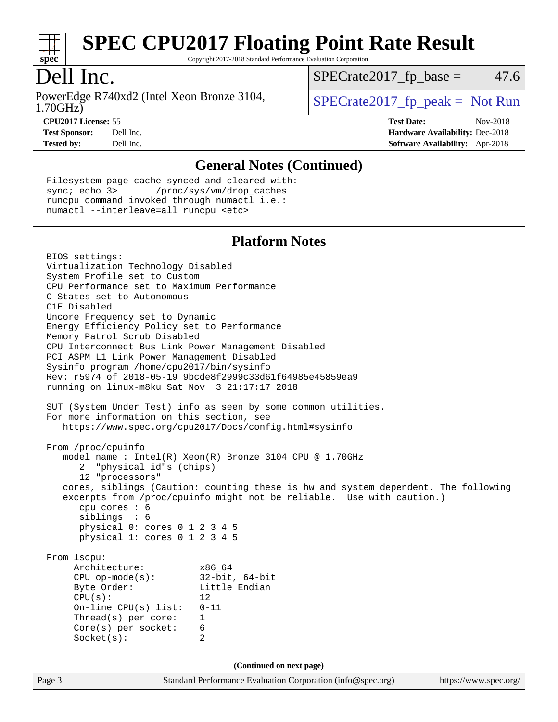

Copyright 2017-2018 Standard Performance Evaluation Corporation

# Dell Inc.

1.70GHz) PowerEdge R740xd2 (Intel Xeon Bronze 3104,  $\vert$  [SPECrate2017\\_fp\\_peak =](http://www.spec.org/auto/cpu2017/Docs/result-fields.html#SPECrate2017fppeak) Not Run

 $SPECTate2017<sub>fp</sub> base = 47.6$ 

**[CPU2017 License:](http://www.spec.org/auto/cpu2017/Docs/result-fields.html#CPU2017License)** 55 **[Test Date:](http://www.spec.org/auto/cpu2017/Docs/result-fields.html#TestDate)** Nov-2018 **[Test Sponsor:](http://www.spec.org/auto/cpu2017/Docs/result-fields.html#TestSponsor)** Dell Inc. **[Hardware Availability:](http://www.spec.org/auto/cpu2017/Docs/result-fields.html#HardwareAvailability)** Dec-2018 **[Tested by:](http://www.spec.org/auto/cpu2017/Docs/result-fields.html#Testedby)** Dell Inc. **[Software Availability:](http://www.spec.org/auto/cpu2017/Docs/result-fields.html#SoftwareAvailability)** Apr-2018

#### **[General Notes \(Continued\)](http://www.spec.org/auto/cpu2017/Docs/result-fields.html#GeneralNotes)**

 Filesystem page cache synced and cleared with: sync; echo 3> /proc/sys/vm/drop\_caches runcpu command invoked through numactl i.e.: numactl --interleave=all runcpu <etc>

#### **[Platform Notes](http://www.spec.org/auto/cpu2017/Docs/result-fields.html#PlatformNotes)**

Page 3 Standard Performance Evaluation Corporation [\(info@spec.org\)](mailto:info@spec.org) <https://www.spec.org/> BIOS settings: Virtualization Technology Disabled System Profile set to Custom CPU Performance set to Maximum Performance C States set to Autonomous C1E Disabled Uncore Frequency set to Dynamic Energy Efficiency Policy set to Performance Memory Patrol Scrub Disabled CPU Interconnect Bus Link Power Management Disabled PCI ASPM L1 Link Power Management Disabled Sysinfo program /home/cpu2017/bin/sysinfo Rev: r5974 of 2018-05-19 9bcde8f2999c33d61f64985e45859ea9 running on linux-m8ku Sat Nov 3 21:17:17 2018 SUT (System Under Test) info as seen by some common utilities. For more information on this section, see <https://www.spec.org/cpu2017/Docs/config.html#sysinfo> From /proc/cpuinfo model name : Intel(R) Xeon(R) Bronze 3104 CPU @ 1.70GHz 2 "physical id"s (chips) 12 "processors" cores, siblings (Caution: counting these is hw and system dependent. The following excerpts from /proc/cpuinfo might not be reliable. Use with caution.) cpu cores : 6 siblings : 6 physical 0: cores 0 1 2 3 4 5 physical 1: cores 0 1 2 3 4 5 From lscpu: Architecture: x86\_64 CPU op-mode(s): 32-bit, 64-bit Byte Order: Little Endian  $CPU(s):$  12 On-line CPU(s) list: 0-11 Thread(s) per core: 1 Core(s) per socket: 6 Socket(s): 2 **(Continued on next page)**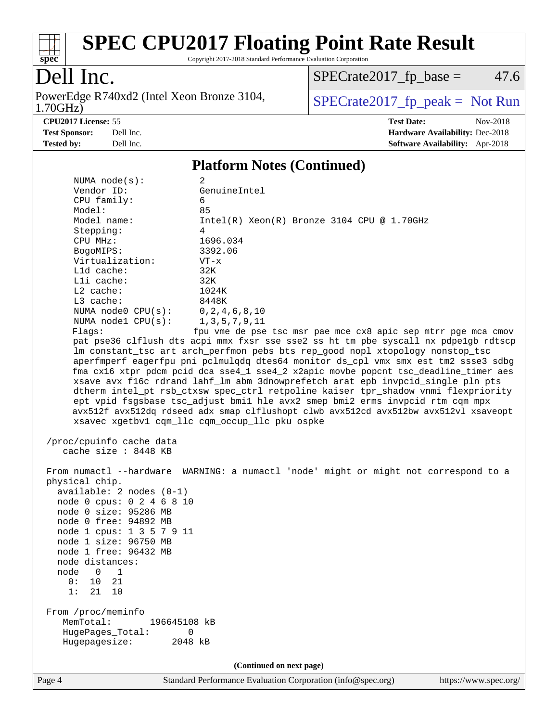

Copyright 2017-2018 Standard Performance Evaluation Corporation

# Dell Inc.

1.70GHz) PowerEdge R740xd2 (Intel Xeon Bronze 3104,  $\begin{array}{|l|l|}\n\hline\n\text{SPECrate2017\_fp\_peak} = \text{Not Run}\n\end{array}$ 

 $SPECTate2017_fp\_base = 47.6$ 

**[CPU2017 License:](http://www.spec.org/auto/cpu2017/Docs/result-fields.html#CPU2017License)** 55 **[Test Date:](http://www.spec.org/auto/cpu2017/Docs/result-fields.html#TestDate)** Nov-2018 **[Test Sponsor:](http://www.spec.org/auto/cpu2017/Docs/result-fields.html#TestSponsor)** Dell Inc. **[Hardware Availability:](http://www.spec.org/auto/cpu2017/Docs/result-fields.html#HardwareAvailability)** Dec-2018 **[Tested by:](http://www.spec.org/auto/cpu2017/Docs/result-fields.html#Testedby)** Dell Inc. **[Software Availability:](http://www.spec.org/auto/cpu2017/Docs/result-fields.html#SoftwareAvailability)** Apr-2018

#### **[Platform Notes \(Continued\)](http://www.spec.org/auto/cpu2017/Docs/result-fields.html#PlatformNotes)**

| NUMA $node(s):$                                  | 2                                                                                    |
|--------------------------------------------------|--------------------------------------------------------------------------------------|
| Vendor ID:                                       | GenuineIntel                                                                         |
| CPU family:                                      | 6                                                                                    |
| Model:                                           | 85                                                                                   |
| Model name:                                      | $Intel(R) Xeon(R) Bronze 3104 CPU @ 1.70GHz$                                         |
| Stepping:                                        | 4                                                                                    |
| CPU MHz:                                         | 1696.034                                                                             |
| BogoMIPS:                                        | 3392.06                                                                              |
| Virtualization:                                  | $VT - x$                                                                             |
| Lld cache:                                       | 32K                                                                                  |
| Lli cache:                                       | 32K                                                                                  |
| L2 cache:                                        | 1024K                                                                                |
| $L3$ cache:                                      | 8448K                                                                                |
| NUMA $node0$ $CPU(s):$                           | 0, 2, 4, 6, 8, 10                                                                    |
| NUMA nodel $CPU(s):$                             | 1, 3, 5, 7, 9, 11                                                                    |
| Flaqs:                                           | fpu vme de pse tsc msr pae mce cx8 apic sep mtrr pge mca cmov                        |
|                                                  | pat pse36 clflush dts acpi mmx fxsr sse sse2 ss ht tm pbe syscall nx pdpelgb rdtscp  |
|                                                  | lm constant_tsc art arch_perfmon pebs bts rep_good nopl xtopology nonstop_tsc        |
|                                                  | aperfmperf eagerfpu pni pclmulqdq dtes64 monitor ds_cpl vmx smx est tm2 ssse3 sdbg   |
|                                                  | fma cx16 xtpr pdcm pcid dca sse4_1 sse4_2 x2apic movbe popcnt tsc_deadline_timer aes |
|                                                  | xsave avx f16c rdrand lahf_lm abm 3dnowprefetch arat epb invpcid_single pln pts      |
|                                                  | dtherm intel_pt rsb_ctxsw spec_ctrl retpoline kaiser tpr_shadow vnmi flexpriority    |
|                                                  | ept vpid fsgsbase tsc_adjust bmil hle avx2 smep bmi2 erms invpcid rtm cqm mpx        |
|                                                  | avx512f avx512dq rdseed adx smap clflushopt clwb avx512cd avx512bw avx512vl xsaveopt |
|                                                  | xsavec xgetbv1 cqm_llc cqm_occup_llc pku ospke                                       |
|                                                  |                                                                                      |
| /proc/cpuinfo cache data<br>cache size : 8448 KB |                                                                                      |
|                                                  |                                                                                      |
|                                                  | From numactl --hardware WARNING: a numactl 'node' might or might not correspond to a |
| physical chip.                                   |                                                                                      |
| $available: 2 nodes (0-1)$                       |                                                                                      |
| node 0 cpus: 0 2 4 6 8 10                        |                                                                                      |
| node 0 size: 95286 MB                            |                                                                                      |
| node 0 free: 94892 MB                            |                                                                                      |
| node 1 cpus: 1 3 5 7 9 11                        |                                                                                      |
| node 1 size: 96750 MB                            |                                                                                      |
| node 1 free: 96432 MB                            |                                                                                      |
| node distances:                                  |                                                                                      |
| node<br>0<br>1                                   |                                                                                      |
| 0:<br>21<br>10                                   |                                                                                      |
| 1:<br>21<br>10                                   |                                                                                      |
|                                                  |                                                                                      |
| From /proc/meminfo                               |                                                                                      |
| MemTotal:<br>196645108 kB                        |                                                                                      |
| HugePages_Total:<br>0                            |                                                                                      |
| Hugepagesize:<br>2048 kB                         |                                                                                      |
|                                                  |                                                                                      |
|                                                  | (Continued on next page)                                                             |
|                                                  |                                                                                      |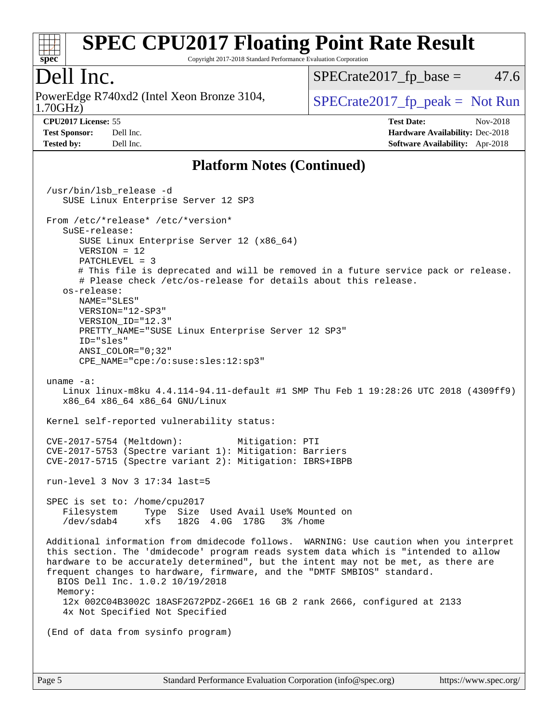

Copyright 2017-2018 Standard Performance Evaluation Corporation

### Dell Inc.

1.70GHz) PowerEdge R740xd2 (Intel Xeon Bronze 3104,  $\vert$  [SPECrate2017\\_fp\\_peak =](http://www.spec.org/auto/cpu2017/Docs/result-fields.html#SPECrate2017fppeak) Not Run

 $SPECTate2017<sub>fp</sub> base = 47.6$ 

**[Tested by:](http://www.spec.org/auto/cpu2017/Docs/result-fields.html#Testedby)** Dell Inc. **[Software Availability:](http://www.spec.org/auto/cpu2017/Docs/result-fields.html#SoftwareAvailability)** Apr-2018

**[CPU2017 License:](http://www.spec.org/auto/cpu2017/Docs/result-fields.html#CPU2017License)** 55 **[Test Date:](http://www.spec.org/auto/cpu2017/Docs/result-fields.html#TestDate)** Nov-2018 **[Test Sponsor:](http://www.spec.org/auto/cpu2017/Docs/result-fields.html#TestSponsor)** Dell Inc. **[Hardware Availability:](http://www.spec.org/auto/cpu2017/Docs/result-fields.html#HardwareAvailability)** Dec-2018

### **[Platform Notes \(Continued\)](http://www.spec.org/auto/cpu2017/Docs/result-fields.html#PlatformNotes)**

 /usr/bin/lsb\_release -d SUSE Linux Enterprise Server 12 SP3 From /etc/\*release\* /etc/\*version\* SuSE-release: SUSE Linux Enterprise Server 12 (x86\_64) VERSION = 12 PATCHLEVEL = 3 # This file is deprecated and will be removed in a future service pack or release. # Please check /etc/os-release for details about this release. os-release: NAME="SLES" VERSION="12-SP3" VERSION\_ID="12.3" PRETTY\_NAME="SUSE Linux Enterprise Server 12 SP3" ID="sles" ANSI\_COLOR="0;32" CPE\_NAME="cpe:/o:suse:sles:12:sp3" uname -a: Linux linux-m8ku 4.4.114-94.11-default #1 SMP Thu Feb 1 19:28:26 UTC 2018 (4309ff9) x86\_64 x86\_64 x86\_64 GNU/Linux Kernel self-reported vulnerability status: CVE-2017-5754 (Meltdown): Mitigation: PTI CVE-2017-5753 (Spectre variant 1): Mitigation: Barriers CVE-2017-5715 (Spectre variant 2): Mitigation: IBRS+IBPB run-level 3 Nov 3 17:34 last=5 SPEC is set to: /home/cpu2017 Filesystem Type Size Used Avail Use% Mounted on /dev/sdab4 xfs 182G 4.0G 178G 3% /home Additional information from dmidecode follows. WARNING: Use caution when you interpret this section. The 'dmidecode' program reads system data which is "intended to allow hardware to be accurately determined", but the intent may not be met, as there are frequent changes to hardware, firmware, and the "DMTF SMBIOS" standard. BIOS Dell Inc. 1.0.2 10/19/2018 Memory: 12x 002C04B3002C 18ASF2G72PDZ-2G6E1 16 GB 2 rank 2666, configured at 2133 4x Not Specified Not Specified (End of data from sysinfo program)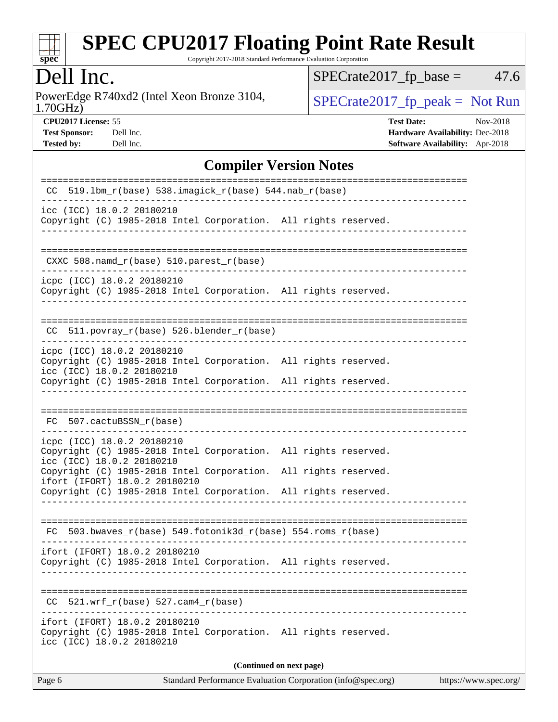

Copyright 2017-2018 Standard Performance Evaluation Corporation

## Dell Inc.

1.70GHz) PowerEdge R740xd2 (Intel Xeon Bronze 3104,  $\begin{array}{|l|l|}\n\hline\n\text{SPECrate2017\_fp\_peak} = \text{Not Run}\n\end{array}$ 

 $SPECTate2017_fp\_base = 47.6$ 

**[CPU2017 License:](http://www.spec.org/auto/cpu2017/Docs/result-fields.html#CPU2017License)** 55 **[Test Date:](http://www.spec.org/auto/cpu2017/Docs/result-fields.html#TestDate)** Nov-2018 **[Test Sponsor:](http://www.spec.org/auto/cpu2017/Docs/result-fields.html#TestSponsor)** Dell Inc. **[Hardware Availability:](http://www.spec.org/auto/cpu2017/Docs/result-fields.html#HardwareAvailability)** Dec-2018 **[Tested by:](http://www.spec.org/auto/cpu2017/Docs/result-fields.html#Testedby)** Dell Inc. **[Software Availability:](http://www.spec.org/auto/cpu2017/Docs/result-fields.html#SoftwareAvailability)** Apr-2018

### **[Compiler Version Notes](http://www.spec.org/auto/cpu2017/Docs/result-fields.html#CompilerVersionNotes)**

| 519.1bm_r(base) 538.imagick_r(base) 544.nab_r(base)<br>CC.                                                                    |
|-------------------------------------------------------------------------------------------------------------------------------|
| icc (ICC) 18.0.2 20180210<br>Copyright (C) 1985-2018 Intel Corporation. All rights reserved.                                  |
| ====================<br>CXXC 508.namd_r(base) 510.parest_r(base)                                                              |
| icpc (ICC) 18.0.2 20180210<br>Copyright (C) 1985-2018 Intel Corporation. All rights reserved.                                 |
| 511.povray_r(base) 526.blender_r(base)<br>CC.                                                                                 |
| icpc (ICC) 18.0.2 20180210<br>Copyright (C) 1985-2018 Intel Corporation. All rights reserved.<br>icc (ICC) 18.0.2 20180210    |
| Copyright (C) 1985-2018 Intel Corporation. All rights reserved.                                                               |
| FC 507.cactuBSSN_r(base)                                                                                                      |
| icpc (ICC) 18.0.2 20180210<br>Copyright (C) 1985-2018 Intel Corporation. All rights reserved.<br>icc (ICC) 18.0.2 20180210    |
| Copyright (C) 1985-2018 Intel Corporation. All rights reserved.<br>ifort (IFORT) 18.0.2 20180210                              |
| Copyright (C) 1985-2018 Intel Corporation. All rights reserved.                                                               |
| FC.                                                                                                                           |
| ifort (IFORT) 18.0.2 20180210<br>Copyright (C) 1985-2018 Intel Corporation. All rights reserved.                              |
|                                                                                                                               |
| 521.wrf $r(base)$ 527.cam4 $r(base)$<br>CC.                                                                                   |
| ifort (IFORT) 18.0.2 20180210<br>Copyright (C) 1985-2018 Intel Corporation. All rights reserved.<br>icc (ICC) 18.0.2 20180210 |
| (Continued on next page)                                                                                                      |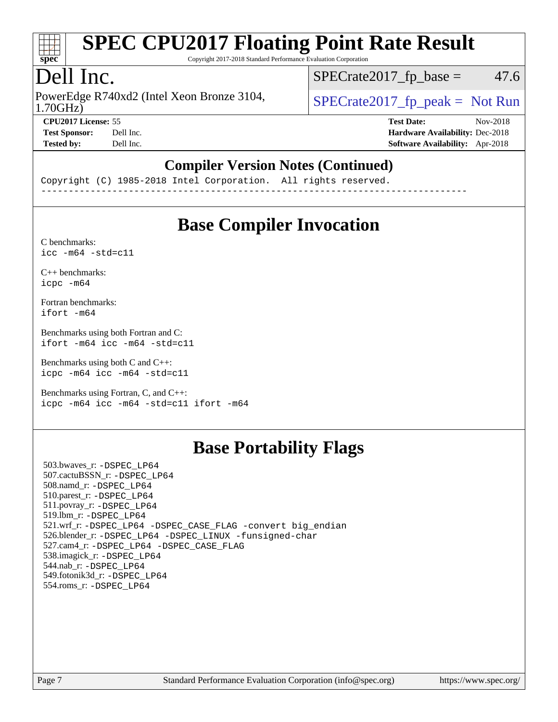

Copyright 2017-2018 Standard Performance Evaluation Corporation

## Dell Inc.

1.70GHz) PowerEdge R740xd2 (Intel Xeon Bronze 3104,  $\vert$  [SPECrate2017\\_fp\\_peak =](http://www.spec.org/auto/cpu2017/Docs/result-fields.html#SPECrate2017fppeak) Not Run

 $SPECTate2017<sub>fp</sub> base = 47.6$ 

**[CPU2017 License:](http://www.spec.org/auto/cpu2017/Docs/result-fields.html#CPU2017License)** 55 **[Test Date:](http://www.spec.org/auto/cpu2017/Docs/result-fields.html#TestDate)** Nov-2018

**[Test Sponsor:](http://www.spec.org/auto/cpu2017/Docs/result-fields.html#TestSponsor)** Dell Inc. **[Hardware Availability:](http://www.spec.org/auto/cpu2017/Docs/result-fields.html#HardwareAvailability)** Dec-2018 **[Tested by:](http://www.spec.org/auto/cpu2017/Docs/result-fields.html#Testedby)** Dell Inc. **[Software Availability:](http://www.spec.org/auto/cpu2017/Docs/result-fields.html#SoftwareAvailability)** Apr-2018

#### **[Compiler Version Notes \(Continued\)](http://www.spec.org/auto/cpu2017/Docs/result-fields.html#CompilerVersionNotes)**

Copyright (C) 1985-2018 Intel Corporation. All rights reserved. ------------------------------------------------------------------------------

### **[Base Compiler Invocation](http://www.spec.org/auto/cpu2017/Docs/result-fields.html#BaseCompilerInvocation)**

[C benchmarks](http://www.spec.org/auto/cpu2017/Docs/result-fields.html#Cbenchmarks):  $\text{icc}$  -m64 -std=c11

[C++ benchmarks:](http://www.spec.org/auto/cpu2017/Docs/result-fields.html#CXXbenchmarks) [icpc -m64](http://www.spec.org/cpu2017/results/res2018q4/cpu2017-20181112-09553.flags.html#user_CXXbase_intel_icpc_64bit_4ecb2543ae3f1412ef961e0650ca070fec7b7afdcd6ed48761b84423119d1bf6bdf5cad15b44d48e7256388bc77273b966e5eb805aefd121eb22e9299b2ec9d9)

[Fortran benchmarks](http://www.spec.org/auto/cpu2017/Docs/result-fields.html#Fortranbenchmarks): [ifort -m64](http://www.spec.org/cpu2017/results/res2018q4/cpu2017-20181112-09553.flags.html#user_FCbase_intel_ifort_64bit_24f2bb282fbaeffd6157abe4f878425411749daecae9a33200eee2bee2fe76f3b89351d69a8130dd5949958ce389cf37ff59a95e7a40d588e8d3a57e0c3fd751)

[Benchmarks using both Fortran and C](http://www.spec.org/auto/cpu2017/Docs/result-fields.html#BenchmarksusingbothFortranandC): [ifort -m64](http://www.spec.org/cpu2017/results/res2018q4/cpu2017-20181112-09553.flags.html#user_CC_FCbase_intel_ifort_64bit_24f2bb282fbaeffd6157abe4f878425411749daecae9a33200eee2bee2fe76f3b89351d69a8130dd5949958ce389cf37ff59a95e7a40d588e8d3a57e0c3fd751) [icc -m64 -std=c11](http://www.spec.org/cpu2017/results/res2018q4/cpu2017-20181112-09553.flags.html#user_CC_FCbase_intel_icc_64bit_c11_33ee0cdaae7deeeab2a9725423ba97205ce30f63b9926c2519791662299b76a0318f32ddfffdc46587804de3178b4f9328c46fa7c2b0cd779d7a61945c91cd35)

[Benchmarks using both C and C++](http://www.spec.org/auto/cpu2017/Docs/result-fields.html#BenchmarksusingbothCandCXX): [icpc -m64](http://www.spec.org/cpu2017/results/res2018q4/cpu2017-20181112-09553.flags.html#user_CC_CXXbase_intel_icpc_64bit_4ecb2543ae3f1412ef961e0650ca070fec7b7afdcd6ed48761b84423119d1bf6bdf5cad15b44d48e7256388bc77273b966e5eb805aefd121eb22e9299b2ec9d9) [icc -m64 -std=c11](http://www.spec.org/cpu2017/results/res2018q4/cpu2017-20181112-09553.flags.html#user_CC_CXXbase_intel_icc_64bit_c11_33ee0cdaae7deeeab2a9725423ba97205ce30f63b9926c2519791662299b76a0318f32ddfffdc46587804de3178b4f9328c46fa7c2b0cd779d7a61945c91cd35)

[Benchmarks using Fortran, C, and C++:](http://www.spec.org/auto/cpu2017/Docs/result-fields.html#BenchmarksusingFortranCandCXX) [icpc -m64](http://www.spec.org/cpu2017/results/res2018q4/cpu2017-20181112-09553.flags.html#user_CC_CXX_FCbase_intel_icpc_64bit_4ecb2543ae3f1412ef961e0650ca070fec7b7afdcd6ed48761b84423119d1bf6bdf5cad15b44d48e7256388bc77273b966e5eb805aefd121eb22e9299b2ec9d9) [icc -m64 -std=c11](http://www.spec.org/cpu2017/results/res2018q4/cpu2017-20181112-09553.flags.html#user_CC_CXX_FCbase_intel_icc_64bit_c11_33ee0cdaae7deeeab2a9725423ba97205ce30f63b9926c2519791662299b76a0318f32ddfffdc46587804de3178b4f9328c46fa7c2b0cd779d7a61945c91cd35) [ifort -m64](http://www.spec.org/cpu2017/results/res2018q4/cpu2017-20181112-09553.flags.html#user_CC_CXX_FCbase_intel_ifort_64bit_24f2bb282fbaeffd6157abe4f878425411749daecae9a33200eee2bee2fe76f3b89351d69a8130dd5949958ce389cf37ff59a95e7a40d588e8d3a57e0c3fd751)

### **[Base Portability Flags](http://www.spec.org/auto/cpu2017/Docs/result-fields.html#BasePortabilityFlags)**

 503.bwaves\_r: [-DSPEC\\_LP64](http://www.spec.org/cpu2017/results/res2018q4/cpu2017-20181112-09553.flags.html#suite_basePORTABILITY503_bwaves_r_DSPEC_LP64) 507.cactuBSSN\_r: [-DSPEC\\_LP64](http://www.spec.org/cpu2017/results/res2018q4/cpu2017-20181112-09553.flags.html#suite_basePORTABILITY507_cactuBSSN_r_DSPEC_LP64) 508.namd\_r: [-DSPEC\\_LP64](http://www.spec.org/cpu2017/results/res2018q4/cpu2017-20181112-09553.flags.html#suite_basePORTABILITY508_namd_r_DSPEC_LP64) 510.parest\_r: [-DSPEC\\_LP64](http://www.spec.org/cpu2017/results/res2018q4/cpu2017-20181112-09553.flags.html#suite_basePORTABILITY510_parest_r_DSPEC_LP64) 511.povray\_r: [-DSPEC\\_LP64](http://www.spec.org/cpu2017/results/res2018q4/cpu2017-20181112-09553.flags.html#suite_basePORTABILITY511_povray_r_DSPEC_LP64) 519.lbm\_r: [-DSPEC\\_LP64](http://www.spec.org/cpu2017/results/res2018q4/cpu2017-20181112-09553.flags.html#suite_basePORTABILITY519_lbm_r_DSPEC_LP64) 521.wrf\_r: [-DSPEC\\_LP64](http://www.spec.org/cpu2017/results/res2018q4/cpu2017-20181112-09553.flags.html#suite_basePORTABILITY521_wrf_r_DSPEC_LP64) [-DSPEC\\_CASE\\_FLAG](http://www.spec.org/cpu2017/results/res2018q4/cpu2017-20181112-09553.flags.html#b521.wrf_r_baseCPORTABILITY_DSPEC_CASE_FLAG) [-convert big\\_endian](http://www.spec.org/cpu2017/results/res2018q4/cpu2017-20181112-09553.flags.html#user_baseFPORTABILITY521_wrf_r_convert_big_endian_c3194028bc08c63ac5d04de18c48ce6d347e4e562e8892b8bdbdc0214820426deb8554edfa529a3fb25a586e65a3d812c835984020483e7e73212c4d31a38223) 526.blender\_r: [-DSPEC\\_LP64](http://www.spec.org/cpu2017/results/res2018q4/cpu2017-20181112-09553.flags.html#suite_basePORTABILITY526_blender_r_DSPEC_LP64) [-DSPEC\\_LINUX](http://www.spec.org/cpu2017/results/res2018q4/cpu2017-20181112-09553.flags.html#b526.blender_r_baseCPORTABILITY_DSPEC_LINUX) [-funsigned-char](http://www.spec.org/cpu2017/results/res2018q4/cpu2017-20181112-09553.flags.html#user_baseCPORTABILITY526_blender_r_force_uchar_40c60f00ab013830e2dd6774aeded3ff59883ba5a1fc5fc14077f794d777847726e2a5858cbc7672e36e1b067e7e5c1d9a74f7176df07886a243d7cc18edfe67) 527.cam4\_r: [-DSPEC\\_LP64](http://www.spec.org/cpu2017/results/res2018q4/cpu2017-20181112-09553.flags.html#suite_basePORTABILITY527_cam4_r_DSPEC_LP64) [-DSPEC\\_CASE\\_FLAG](http://www.spec.org/cpu2017/results/res2018q4/cpu2017-20181112-09553.flags.html#b527.cam4_r_baseCPORTABILITY_DSPEC_CASE_FLAG) 538.imagick\_r: [-DSPEC\\_LP64](http://www.spec.org/cpu2017/results/res2018q4/cpu2017-20181112-09553.flags.html#suite_basePORTABILITY538_imagick_r_DSPEC_LP64) 544.nab\_r: [-DSPEC\\_LP64](http://www.spec.org/cpu2017/results/res2018q4/cpu2017-20181112-09553.flags.html#suite_basePORTABILITY544_nab_r_DSPEC_LP64) 549.fotonik3d\_r: [-DSPEC\\_LP64](http://www.spec.org/cpu2017/results/res2018q4/cpu2017-20181112-09553.flags.html#suite_basePORTABILITY549_fotonik3d_r_DSPEC_LP64) 554.roms\_r: [-DSPEC\\_LP64](http://www.spec.org/cpu2017/results/res2018q4/cpu2017-20181112-09553.flags.html#suite_basePORTABILITY554_roms_r_DSPEC_LP64)